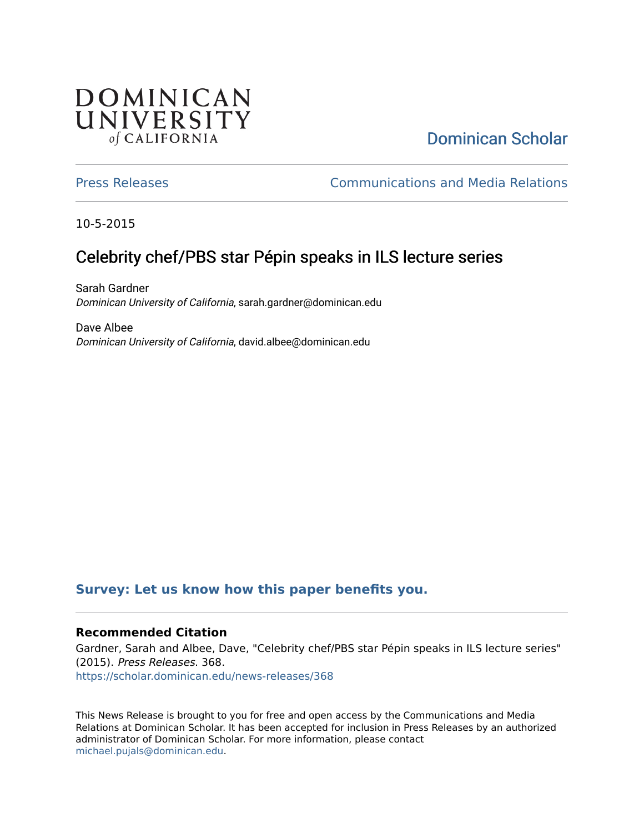## **DOMINICAN** UNIVERSITY of CALIFORNIA

# [Dominican Scholar](https://scholar.dominican.edu/)

[Press Releases](https://scholar.dominican.edu/news-releases) [Communications and Media Relations](https://scholar.dominican.edu/communications-media) 

10-5-2015

# Celebrity chef/PBS star Pépin speaks in ILS lecture series

Sarah Gardner Dominican University of California, sarah.gardner@dominican.edu

Dave Albee Dominican University of California, david.albee@dominican.edu

#### **[Survey: Let us know how this paper benefits you.](https://dominican.libwizard.com/dominican-scholar-feedback)**

#### **Recommended Citation**

Gardner, Sarah and Albee, Dave, "Celebrity chef/PBS star Pépin speaks in ILS lecture series" (2015). Press Releases. 368. [https://scholar.dominican.edu/news-releases/368](https://scholar.dominican.edu/news-releases/368?utm_source=scholar.dominican.edu%2Fnews-releases%2F368&utm_medium=PDF&utm_campaign=PDFCoverPages)

This News Release is brought to you for free and open access by the Communications and Media Relations at Dominican Scholar. It has been accepted for inclusion in Press Releases by an authorized administrator of Dominican Scholar. For more information, please contact [michael.pujals@dominican.edu.](mailto:michael.pujals@dominican.edu)